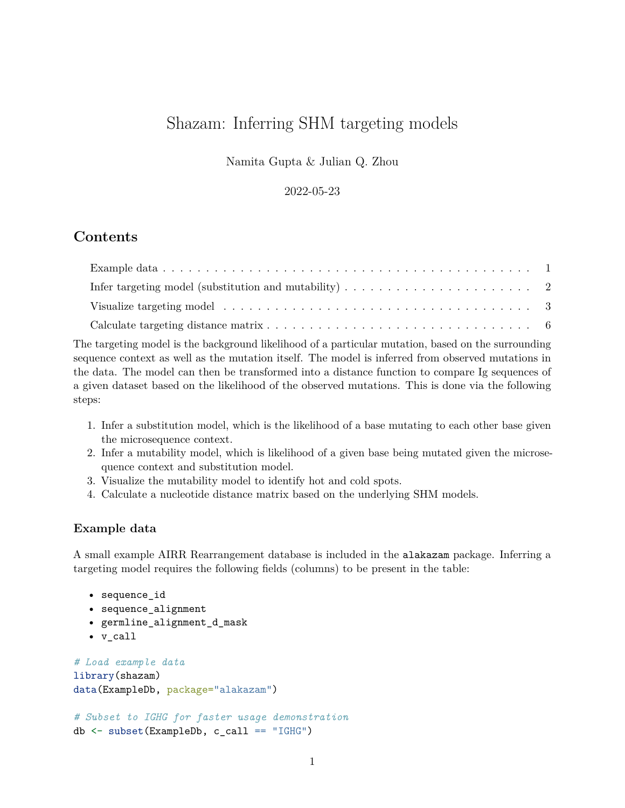# Shazam: Inferring SHM targeting models

Namita Gupta & Julian Q. Zhou

2022-05-23

# **Contents**

| Visualize targeting model $\ldots \ldots \ldots \ldots \ldots \ldots \ldots \ldots \ldots \ldots \ldots \ldots$ |  |
|-----------------------------------------------------------------------------------------------------------------|--|
|                                                                                                                 |  |

The targeting model is the background likelihood of a particular mutation, based on the surrounding sequence context as well as the mutation itself. The model is inferred from observed mutations in the data. The model can then be transformed into a distance function to compare Ig sequences of a given dataset based on the likelihood of the observed mutations. This is done via the following steps:

- 1. Infer a substitution model, which is the likelihood of a base mutating to each other base given the microsequence context.
- 2. Infer a mutability model, which is likelihood of a given base being mutated given the microsequence context and substitution model.
- 3. Visualize the mutability model to identify hot and cold spots.
- 4. Calculate a nucleotide distance matrix based on the underlying SHM models.

#### <span id="page-0-0"></span>**Example data**

A small example AIRR Rearrangement database is included in the alakazam package. Inferring a targeting model requires the following fields (columns) to be present in the table:

```
• sequence_id
```
- sequence\_alignment
- germline\_alignment\_d\_mask
- v\_call

```
# Load example data
library(shazam)
data(ExampleDb, package="alakazam")
```

```
# Subset to IGHG for faster usage demonstration
db <- subset(ExampleDb, c_call == "IGHG")
```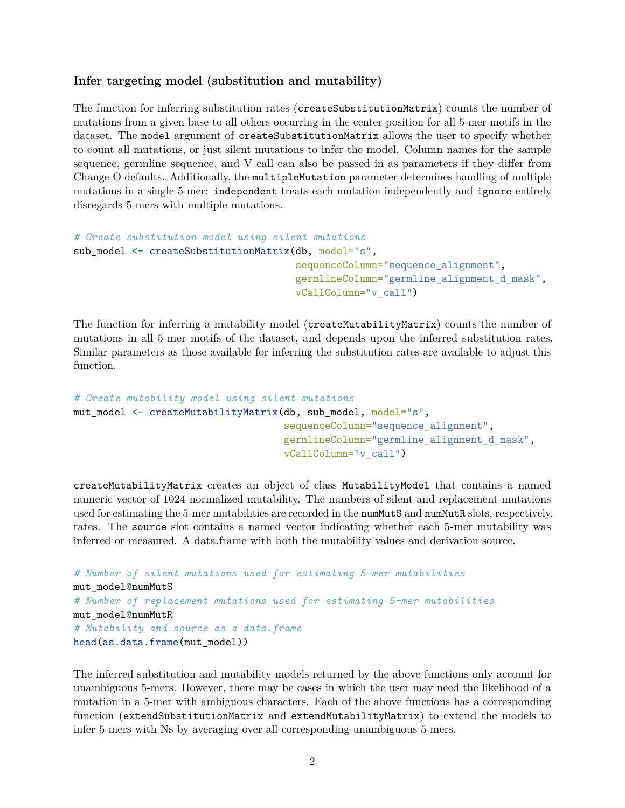#### <span id="page-1-0"></span>**Infer targeting model (substitution and mutability)**

The function for inferring substitution rates (createSubstitutionMatrix) counts the number of mutations from a given base to all others occurring in the center position for all 5-mer motifs in the dataset. The model argument of createSubstitutionMatrix allows the user to specify whether to count all mutations, or just silent mutations to infer the model. Column names for the sample sequence, germline sequence, and V call can also be passed in as parameters if they differ from Change-O defaults. Additionally, the multipleMutation parameter determines handling of multiple mutations in a single 5-mer: independent treats each mutation independently and ignore entirely disregards 5-mers with multiple mutations.

```
# Create substitution model using silent mutations
sub_model <- createSubstitutionMatrix(db, model="s",
                                      sequenceColumn="sequence_alignment",
                                      germlineColumn="germline_alignment_d_mask",
                                      vCallColumn="v_call")
```
The function for inferring a mutability model (createMutabilityMatrix) counts the number of mutations in all 5-mer motifs of the dataset, and depends upon the inferred substitution rates. Similar parameters as those available for inferring the substitution rates are available to adjust this function.

```
# Create mutability model using silent mutations
mut model <- createMutabilityMatrix(db, sub model, model="s",
                                    sequenceColumn="sequence_alignment",
                                    germlineColumn="germline_alignment_d_mask",
                                    vCallColumn="v_call")
```
createMutabilityMatrix creates an object of class MutabilityModel that contains a named numeric vector of 1024 normalized mutability. The numbers of silent and replacement mutations used for estimating the 5-mer mutabilities are recorded in the numMutS and numMutR slots, respectively. rates. The source slot contains a named vector indicating whether each 5-mer mutability was inferred or measured. A data.frame with both the mutability values and derivation source.

```
# Number of silent mutations used for estimating 5-mer mutabilities
mut_model@numMutS
# Number of replacement mutations used for estimating 5-mer mutabilities
mut_model@numMutR
# Mutability and source as a data.frame
head(as.data.frame(mut_model))
```
The inferred substitution and mutability models returned by the above functions only account for unambiguous 5-mers. However, there may be cases in which the user may need the likelihood of a mutation in a 5-mer with ambiguous characters. Each of the above functions has a corresponding function (extendSubstitutionMatrix and extendMutabilityMatrix) to extend the models to infer 5-mers with Ns by averaging over all corresponding unambiguous 5-mers.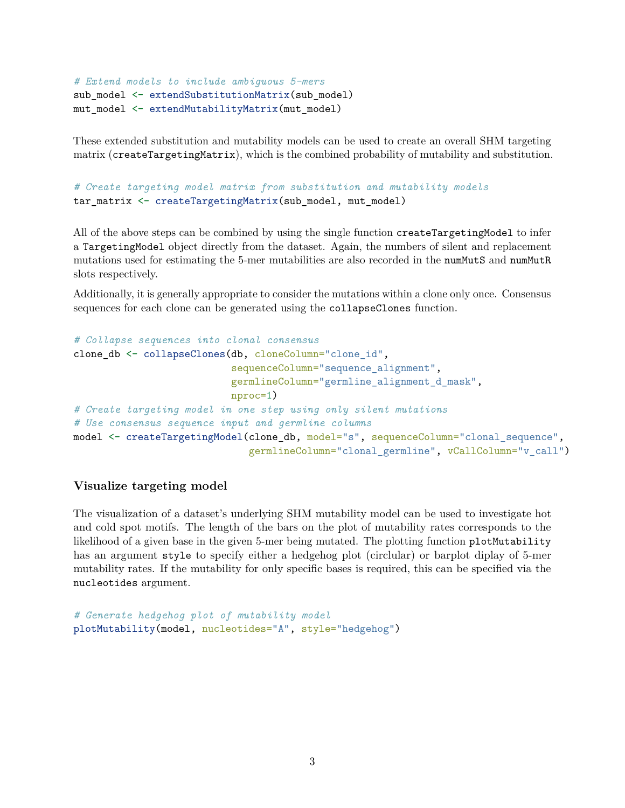```
# Extend models to include ambiguous 5-mers
sub_model <- extendSubstitutionMatrix(sub_model)
mut_model <- extendMutabilityMatrix(mut_model)
```
These extended substitution and mutability models can be used to create an overall SHM targeting matrix (createTargetingMatrix), which is the combined probability of mutability and substitution.

```
# Create targeting model matrix from substitution and mutability models
tar_matrix <- createTargetingMatrix(sub_model, mut_model)
```
All of the above steps can be combined by using the single function createTargetingModel to infer a TargetingModel object directly from the dataset. Again, the numbers of silent and replacement mutations used for estimating the 5-mer mutabilities are also recorded in the numMutS and numMutR slots respectively.

Additionally, it is generally appropriate to consider the mutations within a clone only once. Consensus sequences for each clone can be generated using the collapseClones function.

```
# Collapse sequences into clonal consensus
clone_db <- collapseClones(db, cloneColumn="clone_id",
                           sequenceColumn="sequence_alignment",
                           germlineColumn="germline_alignment_d_mask",
                           nproc=1)
# Create targeting model in one step using only silent mutations
# Use consensus sequence input and germline columns
model <- createTargetingModel(clone_db, model="s", sequenceColumn="clonal_sequence",
                              germlineColumn="clonal_germline", vCallColumn="v_call")
```
#### <span id="page-2-0"></span>**Visualize targeting model**

The visualization of a dataset's underlying SHM mutability model can be used to investigate hot and cold spot motifs. The length of the bars on the plot of mutability rates corresponds to the likelihood of a given base in the given 5-mer being mutated. The plotting function plotMutability has an argument style to specify either a hedgehog plot (circlular) or barplot diplay of 5-mer mutability rates. If the mutability for only specific bases is required, this can be specified via the nucleotides argument.

```
# Generate hedgehog plot of mutability model
plotMutability(model, nucleotides="A", style="hedgehog")
```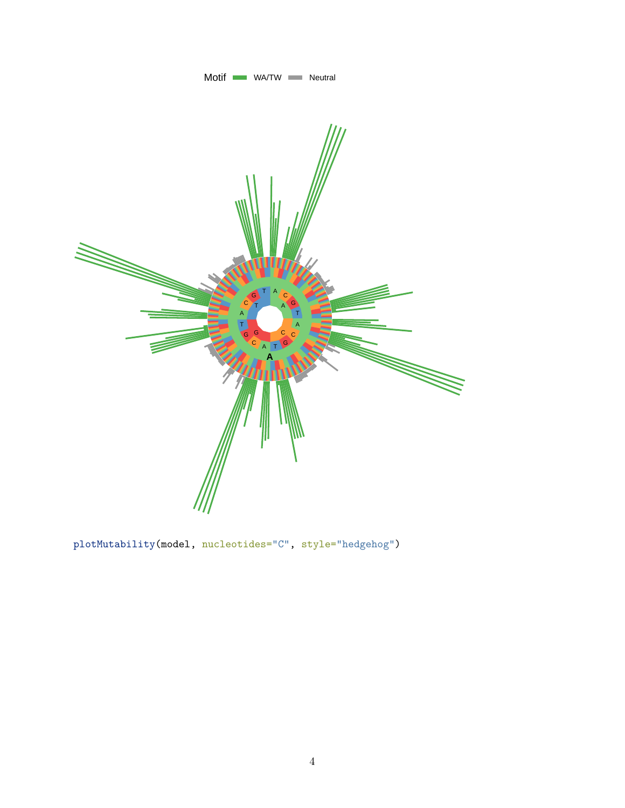

plotMutability(model, nucleotides="C", style="hedgehog")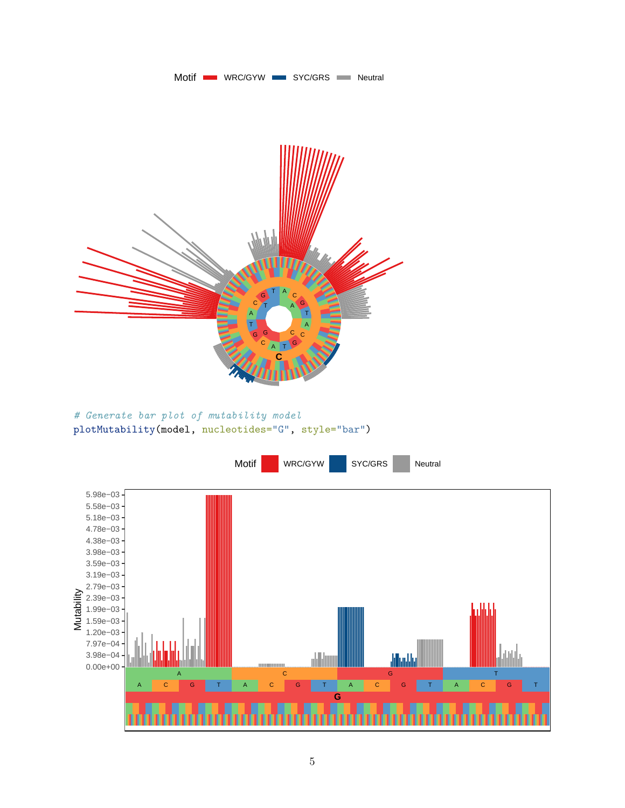